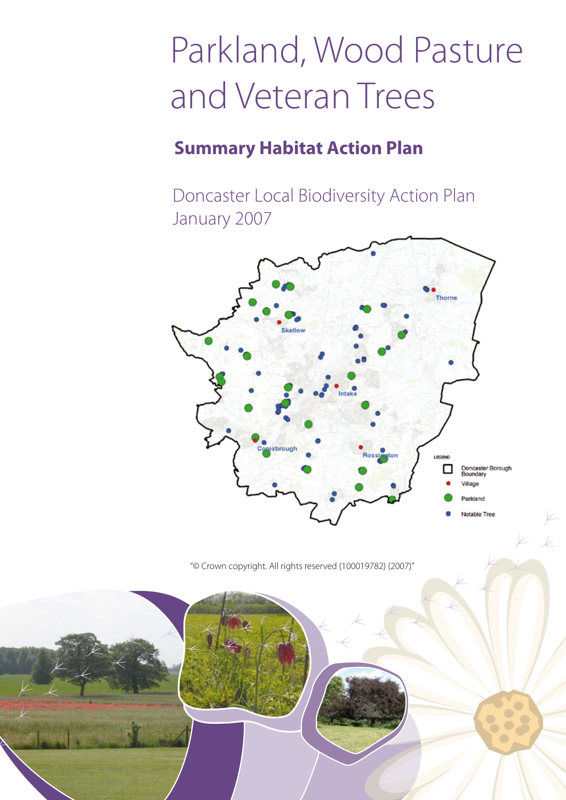# Parkland, Wood Pasture and Veteran Trees

### **Summary Habitat Action Plan**

Doncaster Local Biodiversity Action Plan January 2007



"© Crown copyright. All rights reserved (100019782) (2007)"

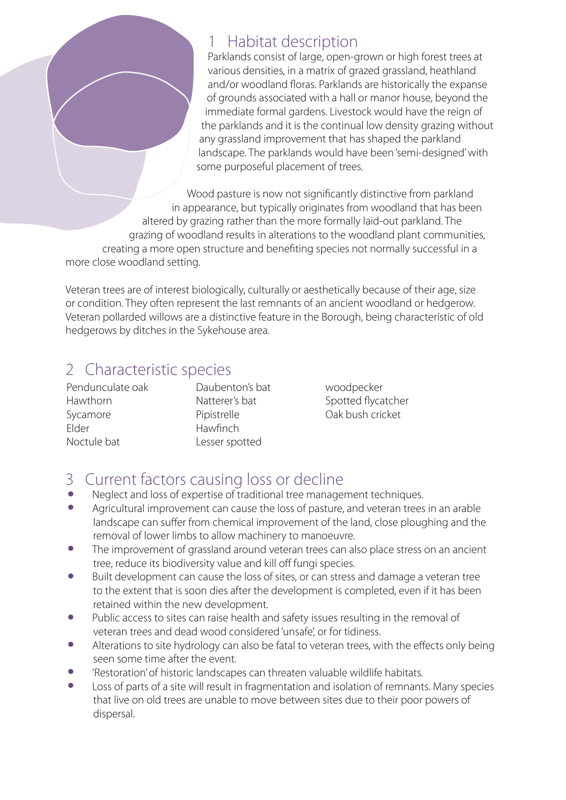#### 1 Habitat description

Parklands consist of large, open-grown or high forest trees at various densities, in a matrix of grazed grassland, heathland and/or woodland floras. Parklands are historically the expanse of grounds associated with a hall or manor house, beyond the immediate formal gardens. Livestock would have the reign of the parklands and it is the continual low density grazing without any grassland improvement that has shaped the parkland landscape. The parklands would have been 'semi-designed' with some purposeful placement of trees.

Wood pasture is now not significantly distinctive from parkland in appearance, but typically originates from woodland that has been altered by grazing rather than the more formally laid-out parkland. The grazing of woodland results in alterations to the woodland plant communities, creating a more open structure and benefiting species not normally successful in a more close woodland setting.

Veteran trees are of interest biologically, culturally or aesthetically because of their age, size or condition. They often represent the last remnants of an ancient woodland or hedgerow. Veteran pollarded willows are a distinctive feature in the Borough, being characteristic of old hedgerows by ditches in the Sykehouse area.

#### 2 Characteristic species

Pendunculate oak Hawthorn Sycamore Elder Noctule bat

Daubenton's bat Natterer's bat Pipistrelle Hawfinch Lesser spotted

woodpecker Spotted flycatcher Oak bush cricket

### 3 Current factors causing loss or decline

- Neglect and loss of expertise of traditional tree management techniques.<br>• Agricultural improvement can cause the loss of pasture, and veteran trees
- Agricultural improvement can cause the loss of pasture, and veteran trees in an arable landscape can suffer from chemical improvement of the land, close ploughing and the removal of lower limbs to allow machinery to manoeuvre.
- The improvement of grassland around veteran trees can also place stress on an ancient tree, reduce its biodiversity value and kill off fungi species.
- Built development can cause the loss of sites, or can stress and damage a veteran tree to the extent that is soon dies after the development is completed, even if it has been retained within the new development.
- Public access to sites can raise health and safety issues resulting in the removal of veteran trees and dead wood considered 'unsafe', or for tidiness.
- Alterations to site hydrology can also be fatal to veteran trees, with the effects only being seen some time after the event.
- 'Restoration' of historic landscapes can threaten valuable wildlife habitats.
- Loss of parts of a site will result in fragmentation and isolation of remnants. Many species that live on old trees are unable to move between sites due to their poor powers of dispersal.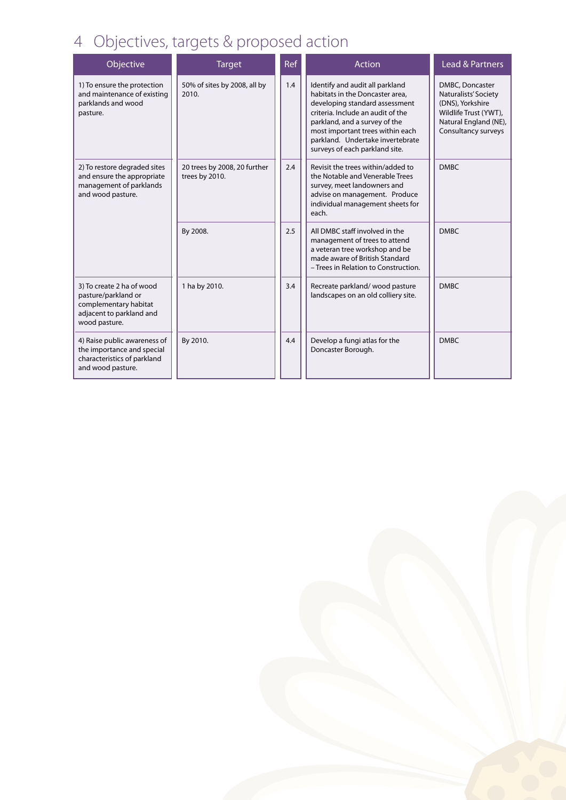# 4 Objectives, targets & proposed action

| Objective                                                                                                              | <b>Target</b>                                  | Ref | Action                                                                                                                                                                                                                                                                               | <b>Lead &amp; Partners</b>                                                                                                           |
|------------------------------------------------------------------------------------------------------------------------|------------------------------------------------|-----|--------------------------------------------------------------------------------------------------------------------------------------------------------------------------------------------------------------------------------------------------------------------------------------|--------------------------------------------------------------------------------------------------------------------------------------|
| 1) To ensure the protection<br>and maintenance of existing<br>parklands and wood<br>pasture.                           | 50% of sites by 2008, all by<br>2010.          | 1.4 | Identify and audit all parkland<br>habitats in the Doncaster area,<br>developing standard assessment<br>criteria. Include an audit of the<br>parkland, and a survey of the<br>most important trees within each<br>parkland. Undertake invertebrate<br>surveys of each parkland site. | DMBC, Doncaster<br>Naturalists' Society<br>(DNS), Yorkshire<br>Wildlife Trust (YWT),<br>Natural England (NE),<br>Consultancy surveys |
| 2) To restore degraded sites<br>and ensure the appropriate<br>management of parklands<br>and wood pasture.             | 20 trees by 2008, 20 further<br>trees by 2010. | 2.4 | Revisit the trees within/added to<br>the Notable and Venerable Trees<br>survey, meet landowners and<br>advise on management. Produce<br>individual management sheets for<br>each.                                                                                                    | <b>DMRC</b>                                                                                                                          |
|                                                                                                                        | By 2008.                                       | 2.5 | All DMBC staff involved in the<br>management of trees to attend<br>a veteran tree workshop and be<br>made aware of British Standard<br>- Trees in Relation to Construction.                                                                                                          | <b>DMBC</b>                                                                                                                          |
| 3) To create 2 ha of wood<br>pasture/parkland or<br>complementary habitat<br>adjacent to parkland and<br>wood pasture. | 1 ha by 2010.                                  | 3.4 | Recreate parkland/wood pasture<br>landscapes on an old colliery site.                                                                                                                                                                                                                | <b>DMBC</b>                                                                                                                          |
| 4) Raise public awareness of<br>the importance and special<br>characteristics of parkland<br>and wood pasture.         | By 2010.                                       | 4.4 | Develop a fungi atlas for the<br>Doncaster Borough.                                                                                                                                                                                                                                  | <b>DMBC</b>                                                                                                                          |